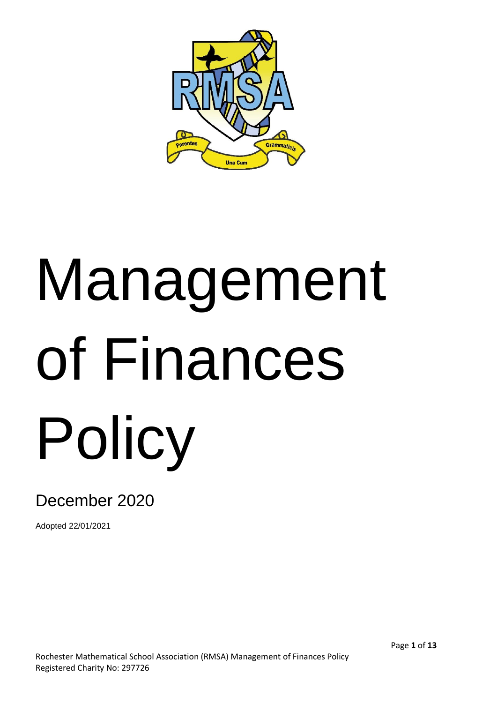

# Management of Finances Policy

# December 2020

Adopted 22/01/2021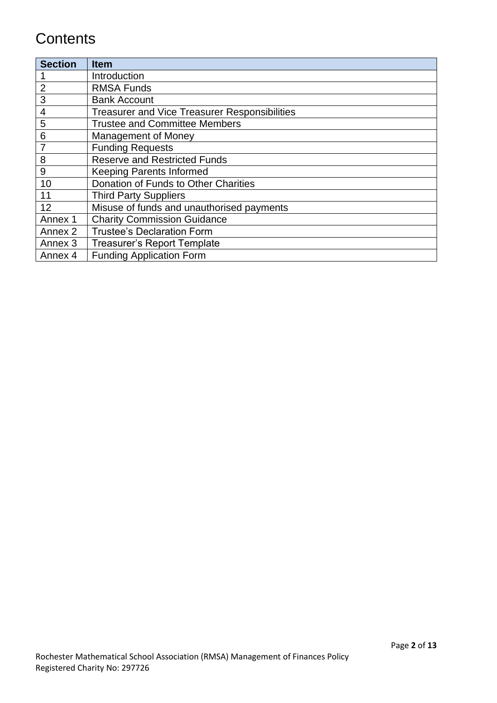# **Contents**

| <b>Section</b> | <b>Item</b>                                          |
|----------------|------------------------------------------------------|
|                | Introduction                                         |
| $\overline{2}$ | <b>RMSA Funds</b>                                    |
| 3              | <b>Bank Account</b>                                  |
| 4              | <b>Treasurer and Vice Treasurer Responsibilities</b> |
| 5              | <b>Trustee and Committee Members</b>                 |
| 6              | Management of Money                                  |
|                | <b>Funding Requests</b>                              |
| 8              | <b>Reserve and Restricted Funds</b>                  |
| 9              | <b>Keeping Parents Informed</b>                      |
| 10             | Donation of Funds to Other Charities                 |
| 11             | <b>Third Party Suppliers</b>                         |
| 12             | Misuse of funds and unauthorised payments            |
| Annex 1        | <b>Charity Commission Guidance</b>                   |
| Annex 2        | <b>Trustee's Declaration Form</b>                    |
| Annex 3        | <b>Treasurer's Report Template</b>                   |
| Annex 4        | <b>Funding Application Form</b>                      |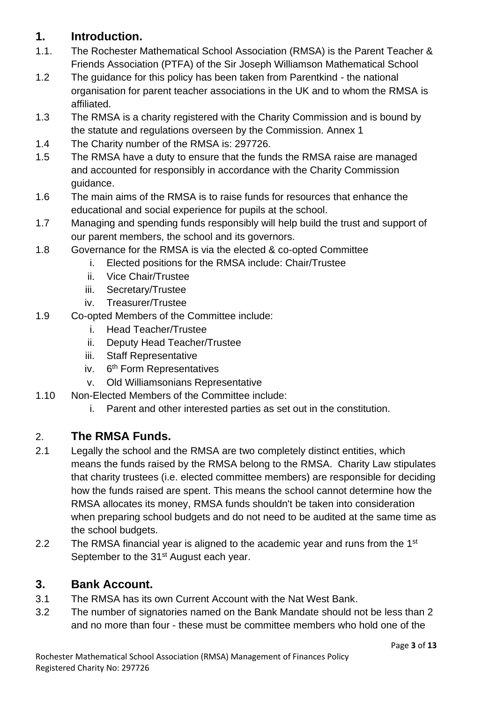### **1. Introduction.**

- 1.1. The Rochester Mathematical School Association (RMSA) is the Parent Teacher & Friends Association (PTFA) of the Sir Joseph Williamson Mathematical School
- 1.2 The guidance for this policy has been taken from Parentkind the national organisation for parent teacher associations in the UK and to whom the RMSA is affiliated.
- 1.3 The RMSA is a charity registered with the Charity Commission and is bound by the statute and regulations overseen by the Commission. Annex 1
- 1.4 The Charity number of the RMSA is: 297726.
- 1.5 The RMSA have a duty to ensure that the funds the RMSA raise are managed and accounted for responsibly in accordance with the Charity Commission guidance.
- 1.6 The main aims of the RMSA is to raise funds for resources that enhance the educational and social experience for pupils at the school.
- 1.7 Managing and spending funds responsibly will help build the trust and support of our parent members, the school and its governors.
- 1.8 Governance for the RMSA is via the elected & co-opted Committee
	- i. Elected positions for the RMSA include: Chair/Trustee
	- ii. Vice Chair/Trustee
	- iii. Secretary/Trustee
	- iv. Treasurer/Trustee
- 1.9 Co-opted Members of the Committee include:
	- i. Head Teacher/Trustee
	- ii. Deputy Head Teacher/Trustee
	- iii. Staff Representative
	- iv. 6<sup>th</sup> Form Representatives
	- v. Old Williamsonians Representative
- 1.10 Non-Elected Members of the Committee include:
	- i. Parent and other interested parties as set out in the constitution.

#### 2. **The RMSA Funds.**

- 2.1 Legally the school and the RMSA are two completely distinct entities, which means the funds raised by the RMSA belong to the RMSA. Charity Law stipulates that charity trustees (i.e. elected committee members) are responsible for deciding how the funds raised are spent. This means the school cannot determine how the RMSA allocates its money, RMSA funds shouldn't be taken into consideration when preparing school budgets and do not need to be audited at the same time as the school budgets.
- 2.2 The RMSA financial year is aligned to the academic year and runs from the 1<sup>st</sup> September to the 31<sup>st</sup> August each year.

#### **3. Bank Account.**

- 3.1 The RMSA has its own Current Account with the Nat West Bank.
- 3.2 The number of signatories named on the Bank Mandate should not be less than 2 and no more than four - these must be committee members who hold one of the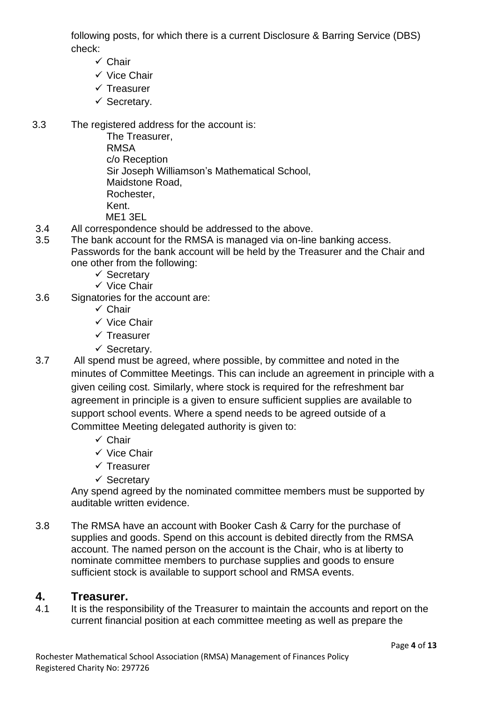following posts, for which there is a current Disclosure & Barring Service (DBS) check:

- ✓ Chair
- ✓ Vice Chair
- ✓ Treasurer
- ✓ Secretary.
- 3.3 The registered address for the account is:

The Treasurer, RMSA c/o Reception Sir Joseph Williamson's Mathematical School, Maidstone Road, Rochester, Kent. ME1 3EL

- 3.4 All correspondence should be addressed to the above.
- 3.5 The bank account for the RMSA is managed via on-line banking access. Passwords for the bank account will be held by the Treasurer and the Chair and one other from the following:
	- ✓ Secretary
	- ✓ Vice Chair
- 3.6 Signatories for the account are:
	- ✓ Chair
	- ✓ Vice Chair
	- ✓ Treasurer
	- ✓ Secretary.
- 3.7 All spend must be agreed, where possible, by committee and noted in the minutes of Committee Meetings. This can include an agreement in principle with a given ceiling cost. Similarly, where stock is required for the refreshment bar agreement in principle is a given to ensure sufficient supplies are available to support school events. Where a spend needs to be agreed outside of a Committee Meeting delegated authority is given to:
	- ✓ Chair
	- ✓ Vice Chair
	- ✓ Treasurer
	- ✓ Secretary

Any spend agreed by the nominated committee members must be supported by auditable written evidence.

3.8 The RMSA have an account with Booker Cash & Carry for the purchase of supplies and goods. Spend on this account is debited directly from the RMSA account. The named person on the account is the Chair, who is at liberty to nominate committee members to purchase supplies and goods to ensure sufficient stock is available to support school and RMSA events.

#### **4. Treasurer.**

4.1 It is the responsibility of the Treasurer to maintain the accounts and report on the current financial position at each committee meeting as well as prepare the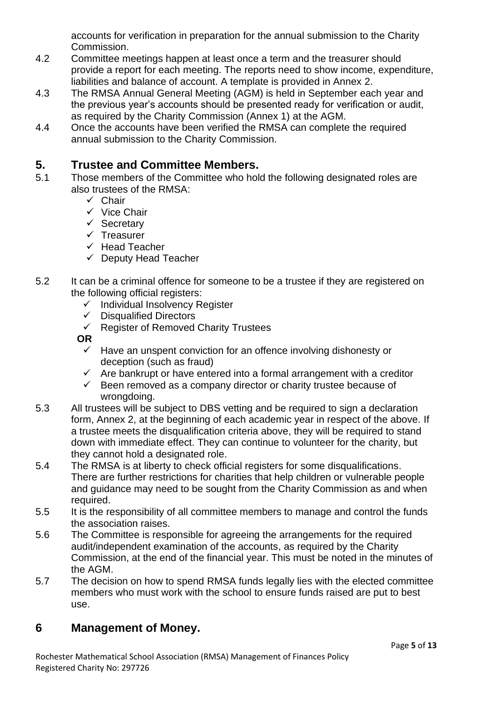accounts for verification in preparation for the annual submission to the Charity Commission.

- 4.2 Committee meetings happen at least once a term and the treasurer should provide a report for each meeting. The reports need to show income, expenditure, liabilities and balance of account. A template is provided in Annex 2.
- 4.3 The RMSA Annual General Meeting (AGM) is held in September each year and the previous year's accounts should be presented ready for verification or audit, as required by the Charity Commission (Annex 1) at the AGM.
- 4.4 Once the accounts have been verified the RMSA can complete the required annual submission to the Charity Commission.

### **5. Trustee and Committee Members.**

- 5.1 Those members of the Committee who hold the following designated roles are also trustees of the RMSA:
	- ✓ Chair
	- ✓ Vice Chair
	- ✓ Secretary
	- ✓ Treasurer
	- ✓ Head Teacher
	- $\checkmark$  Deputy Head Teacher
- 5.2 It can be a criminal offence for someone to be a trustee if they are registered on the following official registers:
	- ✓ Individual Insolvency Register
	- ✓ Disqualified Directors
	- ✓ Register of Removed Charity Trustees

**OR** 

- $\checkmark$  Have an unspent conviction for an offence involving dishonesty or deception (such as fraud)
- $\checkmark$  Are bankrupt or have entered into a formal arrangement with a creditor
- $\checkmark$  Been removed as a company director or charity trustee because of wrongdoing.
- 5.3 All trustees will be subject to DBS vetting and be required to sign a declaration form, Annex 2, at the beginning of each academic year in respect of the above. If a trustee meets the disqualification criteria above, they will be required to stand down with immediate effect. They can continue to volunteer for the charity, but they cannot hold a designated role.
- 5.4 The RMSA is at liberty to check official registers for some disqualifications. There are further restrictions for charities that help children or vulnerable people and guidance may need to be sought from the Charity Commission as and when required.
- 5.5 It is the responsibility of all committee members to manage and control the funds the association raises.
- 5.6 The Committee is responsible for agreeing the arrangements for the required audit/independent examination of the accounts, as required by the Charity Commission, at the end of the financial year. This must be noted in the minutes of the AGM.
- 5.7 The decision on how to spend RMSA funds legally lies with the elected committee members who must work with the school to ensure funds raised are put to best use.

#### **6 Management of Money.**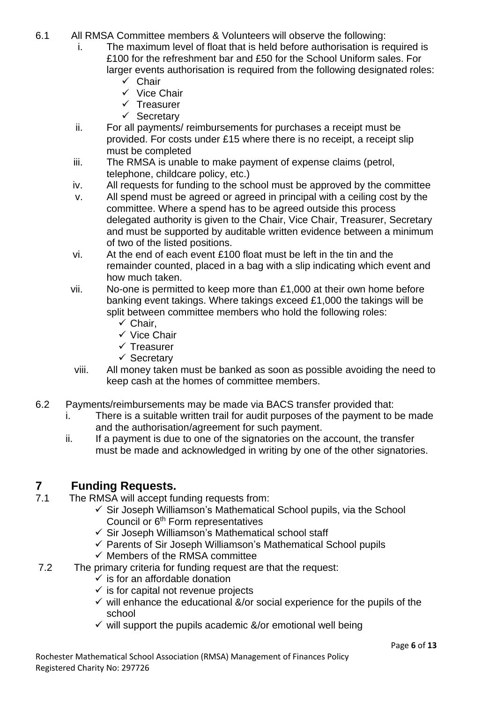- 6.1 All RMSA Committee members & Volunteers will observe the following:
	- i. The maximum level of float that is held before authorisation is required is £100 for the refreshment bar and £50 for the School Uniform sales. For larger events authorisation is required from the following designated roles:
		- ✓ Chair
		- ✓ Vice Chair
		- ✓ Treasurer
		- ✓ Secretary
	- ii. For all payments/ reimbursements for purchases a receipt must be provided. For costs under £15 where there is no receipt, a receipt slip must be completed
	- iii. The RMSA is unable to make payment of expense claims (petrol, telephone, childcare policy, etc.)
	- iv. All requests for funding to the school must be approved by the committee
	- v. All spend must be agreed or agreed in principal with a ceiling cost by the committee. Where a spend has to be agreed outside this process delegated authority is given to the Chair, Vice Chair, Treasurer, Secretary and must be supported by auditable written evidence between a minimum of two of the listed positions.
	- vi. At the end of each event £100 float must be left in the tin and the remainder counted, placed in a bag with a slip indicating which event and how much taken.
	- vii. No-one is permitted to keep more than £1,000 at their own home before banking event takings. Where takings exceed £1,000 the takings will be split between committee members who hold the following roles:
		- $\checkmark$  Chair,
		- ✓ Vice Chair
		- ✓ Treasurer
		- ✓ Secretary
	- viii. All money taken must be banked as soon as possible avoiding the need to keep cash at the homes of committee members.
- 6.2 Payments/reimbursements may be made via BACS transfer provided that:
	- i. There is a suitable written trail for audit purposes of the payment to be made and the authorisation/agreement for such payment.
	- ii. If a payment is due to one of the signatories on the account, the transfer must be made and acknowledged in writing by one of the other signatories.

#### **7 Funding Requests.**

- 7.1 The RMSA will accept funding requests from:
	- $\checkmark$  Sir Joseph Williamson's Mathematical School pupils, via the School Council or 6th Form representatives
	- ✓ Sir Joseph Williamson's Mathematical school staff
	- ✓ Parents of Sir Joseph Williamson's Mathematical School pupils
	- $\checkmark$  Members of the RMSA committee
- 7.2 The primary criteria for funding request are that the request:
	- $\checkmark$  is for an affordable donation
	- $\checkmark$  is for capital not revenue projects
	- $\checkmark$  will enhance the educational &/or social experience for the pupils of the school
	- $\checkmark$  will support the pupils academic &/or emotional well being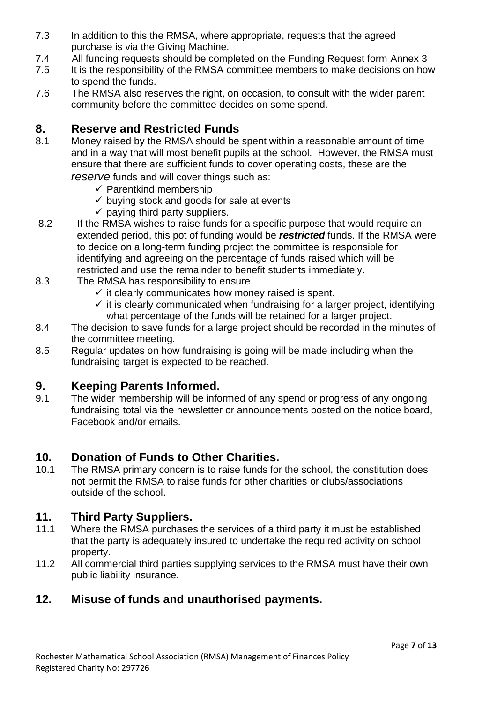- 7.3 In addition to this the RMSA, where appropriate, requests that the agreed purchase is via the Giving Machine.
- 7.4 All funding requests should be completed on the Funding Request form Annex 3
- 7.5 It is the responsibility of the RMSA committee members to make decisions on how to spend the funds.
- 7.6 The RMSA also reserves the right, on occasion, to consult with the wider parent community before the committee decides on some spend.

#### **8. Reserve and Restricted Funds**

8.1 Money raised by the RMSA should be spent within a reasonable amount of time and in a way that will most benefit pupils at the school. However, the RMSA must ensure that there are sufficient funds to cover operating costs, these are the

*reserve* funds and will cover things such as:

- $\checkmark$  Parentkind membership
- $\checkmark$  buving stock and goods for sale at events
- $\checkmark$  paying third party suppliers.
- 8.2 If the RMSA wishes to raise funds for a specific purpose that would require an extended period, this pot of funding would be *restricted* funds. If the RMSA were to decide on a long-term funding project the committee is responsible for identifying and agreeing on the percentage of funds raised which will be restricted and use the remainder to benefit students immediately.
- 8.3 The RMSA has responsibility to ensure
	- $\checkmark$  it clearly communicates how money raised is spent.
	- $\checkmark$  it is clearly communicated when fundraising for a larger project, identifying what percentage of the funds will be retained for a larger project.
- 8.4 The decision to save funds for a large project should be recorded in the minutes of the committee meeting.
- 8.5 Regular updates on how fundraising is going will be made including when the fundraising target is expected to be reached.

#### **9. Keeping Parents Informed.**

9.1 The wider membership will be informed of any spend or progress of any ongoing fundraising total via the newsletter or announcements posted on the notice board, Facebook and/or emails.

#### **10. Donation of Funds to Other Charities.**

10.1 The RMSA primary concern is to raise funds for the school, the constitution does not permit the RMSA to raise funds for other charities or clubs/associations outside of the school.

#### **11. Third Party Suppliers.**

- 11.1 Where the RMSA purchases the services of a third party it must be established that the party is adequately insured to undertake the required activity on school property.
- 11.2 All commercial third parties supplying services to the RMSA must have their own public liability insurance.

#### **12. Misuse of funds and unauthorised payments.**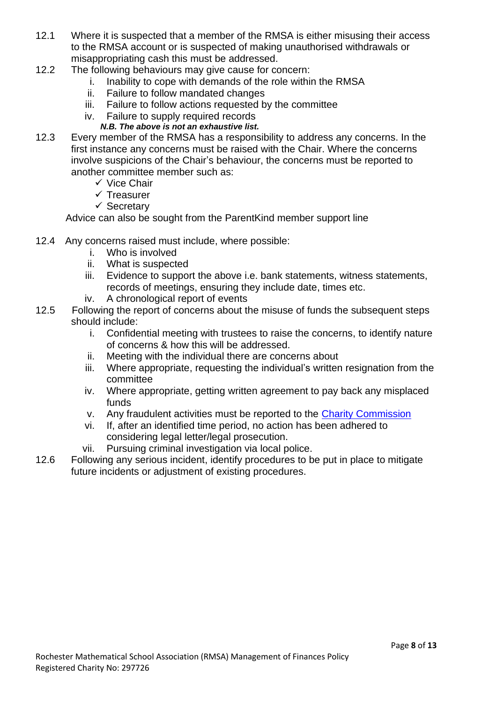- 12.1 Where it is suspected that a member of the RMSA is either misusing their access to the RMSA account or is suspected of making unauthorised withdrawals or misappropriating cash this must be addressed.
- 12.2 The following behaviours may give cause for concern:
	- i. Inability to cope with demands of the role within the RMSA
	- ii. Failure to follow mandated changes
	- iii. Failure to follow actions requested by the committee
	- iv. Failure to supply required records
		- *N.B. The above is not an exhaustive list.*
- 12.3 Every member of the RMSA has a responsibility to address any concerns. In the first instance any concerns must be raised with the Chair. Where the concerns involve suspicions of the Chair's behaviour, the concerns must be reported to another committee member such as:
	- ✓ Vice Chair
	- ✓ Treasurer
	- ✓ Secretary

Advice can also be sought from the ParentKind member support line

- 12.4 Any concerns raised must include, where possible:
	- i. Who is involved
	- ii. What is suspected
	- iii. Evidence to support the above i.e. bank statements, witness statements, records of meetings, ensuring they include date, times etc.
	- iv. A chronological report of events
- 12.5 Following the report of concerns about the misuse of funds the subsequent steps should include:
	- i. Confidential meeting with trustees to raise the concerns, to identify nature of concerns & how this will be addressed.
	- ii. Meeting with the individual there are concerns about
	- iii. Where appropriate, requesting the individual's written resignation from the committee
	- iv. Where appropriate, getting written agreement to pay back any misplaced funds
	- v. Any fraudulent activities must be reported to the [Charity Commission](https://www.gov.uk/guidance/how-to-report-a-serious-incident-in-your-charity)
	- vi. If, after an identified time period, no action has been adhered to considering legal letter/legal prosecution.
	- vii. Pursuing criminal investigation via local police.
- 12.6 Following any serious incident, identify procedures to be put in place to mitigate future incidents or adjustment of existing procedures.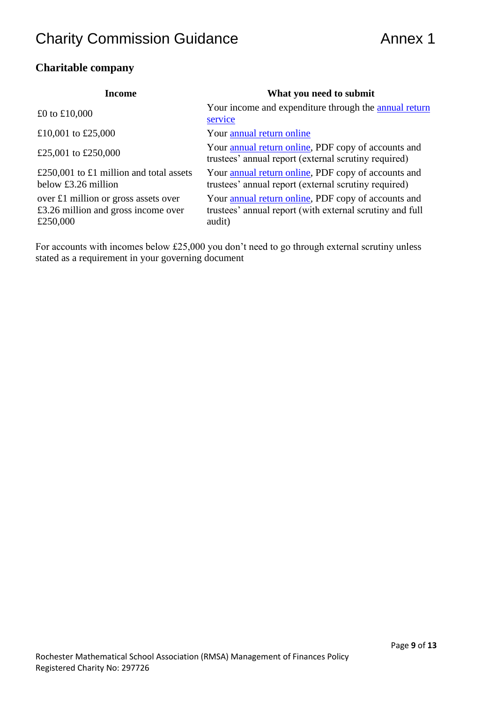# **Charity Commission Guidance Annex 1**

#### **Charitable company**

| Income                                                                                  | What you need to submit                                                                                                   |
|-----------------------------------------------------------------------------------------|---------------------------------------------------------------------------------------------------------------------------|
| £0 to £10,000                                                                           | Your income and expenditure through the annual return<br>service                                                          |
| £10,001 to £25,000                                                                      | Your annual return online                                                                                                 |
| £25,001 to £250,000                                                                     | Your annual return online, PDF copy of accounts and<br>trustees' annual report (external scrutiny required)               |
| £250,001 to £1 million and total assets<br>below $£3.26$ million                        | Your annual return online, PDF copy of accounts and<br>trustees' annual report (external scrutiny required)               |
| over £1 million or gross assets over<br>£3.26 million and gross income over<br>£250,000 | Your annual return online, PDF copy of accounts and<br>trustees' annual report (with external scrutiny and full<br>audit) |

For accounts with incomes below £25,000 you don't need to go through external scrutiny unless stated as a requirement in your governing document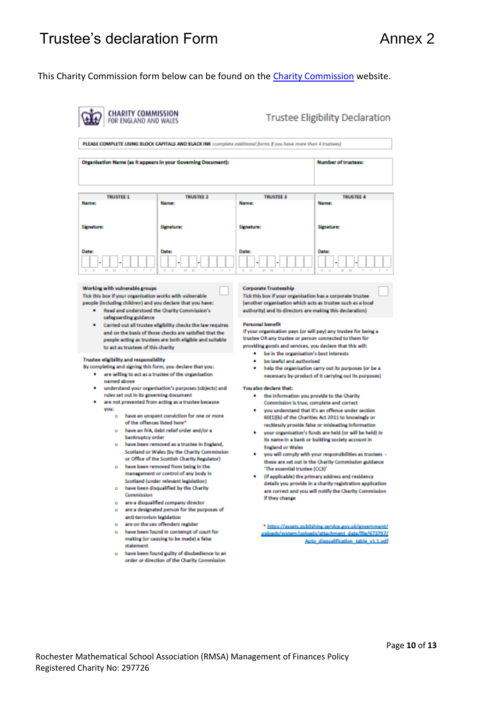# Trustee's declaration Form **Annex 2** Annex 2

#### This [Charity Commission](https://assets.publishing.service.gov.uk/government/uploads/system/uploads/attachment_data/file/731544/Trustee_Declaration_Form.pdf) form below can be found on the Charity Commission website.

|                                                                                                                                                                                                                                                                                                                                                                                                                                                                                                                                                                                                                                                                                                                                                                                                                                                                                                                                                                  | Organisation Name (as it appears in your Governing Document):                                                                                                                                                                      |                                                                                                                                                                                                                                                                                                                                                                                                                                | <b>Number of trustees:</b>                                                                                                                                                                                                                                                                                                                                                                                                                                                                                                                                                                                                  |
|------------------------------------------------------------------------------------------------------------------------------------------------------------------------------------------------------------------------------------------------------------------------------------------------------------------------------------------------------------------------------------------------------------------------------------------------------------------------------------------------------------------------------------------------------------------------------------------------------------------------------------------------------------------------------------------------------------------------------------------------------------------------------------------------------------------------------------------------------------------------------------------------------------------------------------------------------------------|------------------------------------------------------------------------------------------------------------------------------------------------------------------------------------------------------------------------------------|--------------------------------------------------------------------------------------------------------------------------------------------------------------------------------------------------------------------------------------------------------------------------------------------------------------------------------------------------------------------------------------------------------------------------------|-----------------------------------------------------------------------------------------------------------------------------------------------------------------------------------------------------------------------------------------------------------------------------------------------------------------------------------------------------------------------------------------------------------------------------------------------------------------------------------------------------------------------------------------------------------------------------------------------------------------------------|
| <b>TRUSTEE 1</b><br>Name:                                                                                                                                                                                                                                                                                                                                                                                                                                                                                                                                                                                                                                                                                                                                                                                                                                                                                                                                        | <b>TRUSTEE 2</b><br>Name:                                                                                                                                                                                                          | <b>TRUSTEE 3</b><br>Name:                                                                                                                                                                                                                                                                                                                                                                                                      | <b>TRUSTEE 4</b><br>Name:                                                                                                                                                                                                                                                                                                                                                                                                                                                                                                                                                                                                   |
| <b>Signature:</b>                                                                                                                                                                                                                                                                                                                                                                                                                                                                                                                                                                                                                                                                                                                                                                                                                                                                                                                                                | Signature:                                                                                                                                                                                                                         | <b>Signature:</b>                                                                                                                                                                                                                                                                                                                                                                                                              | Signature:                                                                                                                                                                                                                                                                                                                                                                                                                                                                                                                                                                                                                  |
| <b>Date:</b>                                                                                                                                                                                                                                                                                                                                                                                                                                                                                                                                                                                                                                                                                                                                                                                                                                                                                                                                                     | Date:                                                                                                                                                                                                                              | <b>Date:</b>                                                                                                                                                                                                                                                                                                                                                                                                                   | Date:                                                                                                                                                                                                                                                                                                                                                                                                                                                                                                                                                                                                                       |
| people (including children) and you declare that you have:<br>٠<br>safeguarding guidance<br>۰<br>to act as trustees of this charity<br><b>Trustee eligibility and responsibility</b><br>By completing and signing this form, you declare that you:<br>٠                                                                                                                                                                                                                                                                                                                                                                                                                                                                                                                                                                                                                                                                                                          | Read and understood the Charity Commission's<br>Carried out all trustee eligibility checks the law requires<br>and on the basis of those checks are satisfied that the<br>people acting as trustees are both eligible and suitable | (another organisation which acts as trustee such as a local<br>authority) and its directors are making this declaration)<br><b>Personal benefit</b><br>If your organisation pays (or will pay) any trustee for being a<br>trustee OR any trustee or person connected to them for<br>providing goods and services, you declare that this will:<br>be in the organisation's best interests<br>٠<br>be lawful and authorised<br>٠ | help the organisation carry out its purposes (or be a<br>necessary by-product of it carrying out its purposes)                                                                                                                                                                                                                                                                                                                                                                                                                                                                                                              |
| are willing to act as a trustee of the organisation<br>named above<br>understand your organisation's purposes (objects) and<br>rules set out in its governing document<br>are not prevented from acting as a trustee because<br>you:<br>have an unspent conviction for one or more<br>٠<br>of the offences listed here*<br>have an IVA, debt relief order and/or a<br>٠<br>bankruptcy order<br>have been removed as a trustee in England,<br>٠<br>Scotland or Wales (by the Charity Commission<br>or Office of the Scottish Charity Regulator)<br>have been removed from being in the<br>٠<br>management or control of any body in<br>Scotland (under relevant legislation)<br>have been disqualified by the Charity<br>۰<br>Commission<br>are a disqualified company director<br>٠<br>are a designated person for the purposes of<br>٠<br>anti-terrorism legislation<br>are on the sex offenders register<br>٠<br>have been found in contempt of court for<br>٠ |                                                                                                                                                                                                                                    | You also declare that:<br>Commission is true, complete and correct<br>٠<br><b>England or Wales</b><br>The essential trustee (CC3)'<br>٠<br>if they change                                                                                                                                                                                                                                                                      | the information you provide to the Charity<br>you understand that it's an offence under section<br>60(1)(b) of the Charities Act 2011 to knowingly or<br>recklessly provide false or misleading information<br>your organisation's funds are held (or will be held) in<br>its name in a bank or building society account in<br>you will comply with your responsibilities as trustees -<br>these are set out in the Charity Commission guidance<br>(if applicable) the primary address and residency<br>details you provide in a charity registration application<br>are correct and you will notify the Charity Commission |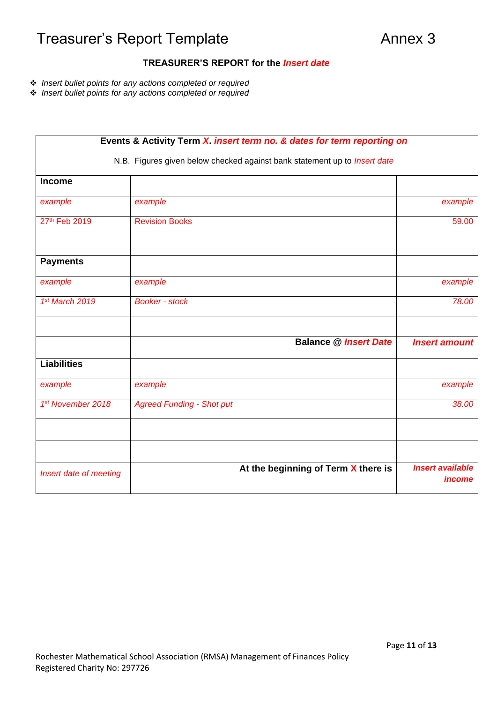# Treasurer's Report Template **Annex 3** Annex 3

#### **TREASURER'S REPORT for the** *Insert date*

- ❖ *Insert bullet points for any actions completed or required*
- ❖ *Insert bullet points for any actions completed or required*

| Events & Activity Term X. insert term no. & dates for term reporting on<br>N.B. Figures given below checked against bank statement up to <i>Insert date</i> |                                     |                                          |  |  |
|-------------------------------------------------------------------------------------------------------------------------------------------------------------|-------------------------------------|------------------------------------------|--|--|
|                                                                                                                                                             |                                     |                                          |  |  |
| example                                                                                                                                                     | example                             | example                                  |  |  |
| 27th Feb 2019                                                                                                                                               | <b>Revision Books</b>               | 59.00                                    |  |  |
| <b>Payments</b>                                                                                                                                             |                                     |                                          |  |  |
| example                                                                                                                                                     | example                             | example                                  |  |  |
| 1st March 2019                                                                                                                                              | <b>Booker - stock</b>               | 78.00                                    |  |  |
|                                                                                                                                                             | <b>Balance @ Insert Date</b>        | <b>Insert amount</b>                     |  |  |
| <b>Liabilities</b>                                                                                                                                          |                                     |                                          |  |  |
| example                                                                                                                                                     | example                             | example                                  |  |  |
| 1st November 2018                                                                                                                                           | <b>Agreed Funding - Shot put</b>    | 38.00                                    |  |  |
|                                                                                                                                                             |                                     |                                          |  |  |
|                                                                                                                                                             |                                     |                                          |  |  |
| Insert date of meeting                                                                                                                                      | At the beginning of Term X there is | <b>Insert available</b><br><i>income</i> |  |  |